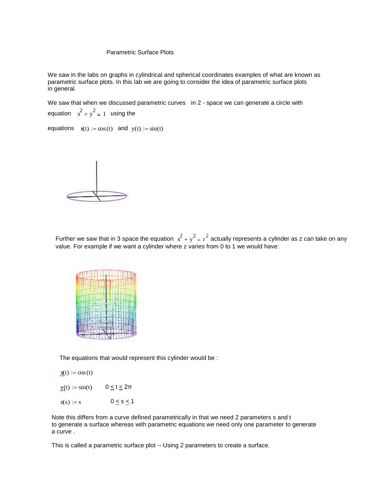#### Parametric Surface Plots

We saw in the labs on graphs in cylindrical and spherical coordinates examples of what are known as parametric surface plots. In this lab we are going to consider the idea of parametric surface plots in general.

We saw that when we discussed parametric curves in 2 - space we can generate a circle with equation  $x^2 + y^2 = 1$  using the

equations  $x(t) := cos(t)$  and  $y(t) := sin(t)$ 



Further we saw that in 3 space the equation  $x^2 + y^2 = r^2$  actually represents a cylinder as z can take on any value. For example if we want a cylinder where z varies from 0 to 1 we would have:



The equations that would represent this cylinder would be :

 $x(t) := cos(t)$ 

- $y(t) := \sin(t)$   $0 \le t \le 2\pi$
- $z(s) := s$   $0 \le s \le 1$

Note this differs from a curve defined parametrically in that we need 2 parameters s and t to generate a surface whereas with parametric equations we need only one parameter to generate a curve .

This is called a parametric surface plot -- Using 2 parameters to create a surface.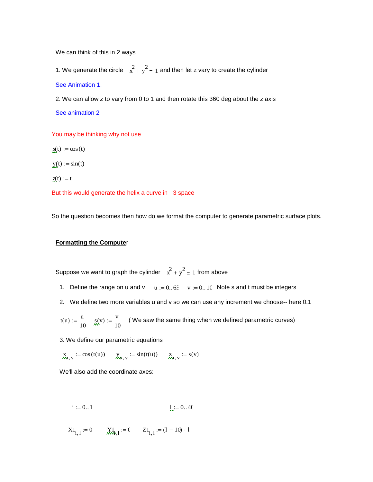We can think of this in 2 ways

1. We generate the circle  $x^2 + y^2 = 1$  and then let z vary to create the cylinder [See Animation 1.](http://www.calculus7.com/sitebuildercontent/sitebuilderfiles/firstcylinderpsf.avi)

2. We can allow z to vary from 0 to 1 and then rotate this 360 deg about the z axis

[See animation 2](http://www.calculus7.com/sitebuildercontent/sitebuilderfiles/cylinderpsf.avi)

You may be thinking why not use

 $\mathbf{x}(t) := \cos(t)$  $y(t) := \sin(t)$  $\mathbf{z}(t) := t$ 

But this would generate the helix a curve in 3 space

So the question becomes then how do we format the computer to generate parametric surface plots.

#### **Formatting the Compute**r

Suppose we want to graph the cylinder  $x^2 + y^2 = 1$  from above

- 1. Define the range on u and v  $u := 0.63$   $v := 0.10$  Note s and t must be integers
- 2. We define two more variables u and v so we can use any increment we choose-- here 0.1

$$
t(u) := \frac{u}{10}
$$
  $\mathop{\text{S}(v)}_{M}(x) := \frac{v}{10}$  ( We saw the same thing when we defined parametric curves)

3. We define our parametric equations

 $X_{\mathbf{M},\mathbf{V}} := \cos(t(\mathbf{u})) \qquad \n\chi_{\mathbf{M},\mathbf{V}} := \sin(t(\mathbf{u})) \qquad \n\chi_{\mathbf{M},\mathbf{V}} := \mathbf{s}(\mathbf{v})$ 

We'll also add the coordinate axes:

$$
i := 0..1
$$
  $1 := 0..40$ 

$$
X1_{i,1} := 0 \t X1_{i,1} := 0 \t Z1_{i,1} := (1 - 10) \cdot 1
$$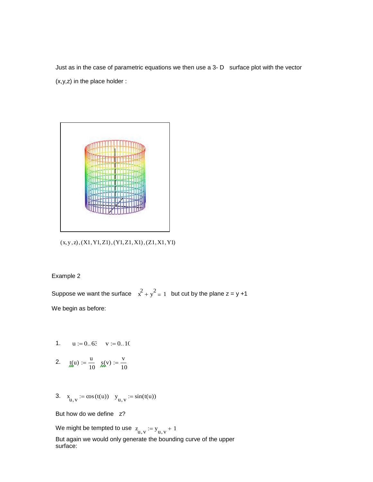Just as in the case of parametric equations we then use a 3- D surface plot with the vector (x,y,z) in the place holder :



 $(x, y, z)$ ,  $(X1, Y1, Z1)$ ,  $(Y1, Z1, X1)$ ,  $(Z1, X1, Y1)$ 

Example 2

Suppose we want the surface  $x^2 + y^2 = 1$  but cut by the plane  $z = y + 1$ We begin as before:

- 1.  $u := 0.63$   $v := 0.10$
- 2.  $t(u) := \frac{u}{u}$ 10  $:=\frac{u}{v}$   $g(v) := \frac{v}{v}$ 10  $:=$

3. 
$$
x_{u,v} := \cos(t(u))
$$
  $y_{u,v} := \sin(t(u))$ 

But how do we define z?

We might be tempted to use  $z_{\mathrm{u,v}} := y_{\mathrm{u,v}} + 1$ But again we would only generate the bounding curve of the upper surface: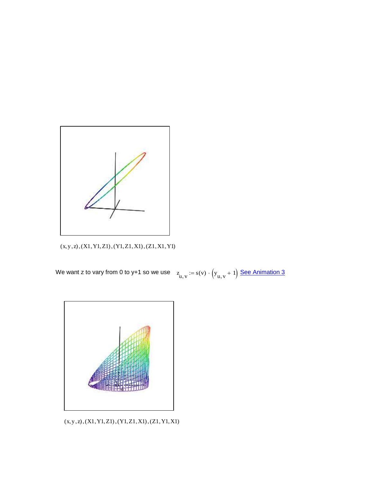

 $(x,y,z), (X1,Y1,Z1), (Y1,Z1,X1), (Z1,X1,Y1)$ 

We want z to vary from 0 to y+1 so we use  $\quad \ \ z_{_{\mathbf{u,v}}} \coloneqq \mathrm{s(v)} \cdot \left( \boldsymbol{\mathrm{y}}_{_{\mathbf{u,v}}} + 1 \right) \frac{\boldsymbol{\mathrm{See}}~\mathbf{Animal}}{\boldsymbol{\mathrm{A}}}$ 



 $(x, y, z), (X1, Y1, Z1), (Y1, Z1, X1), (Z1, Y1, X1)$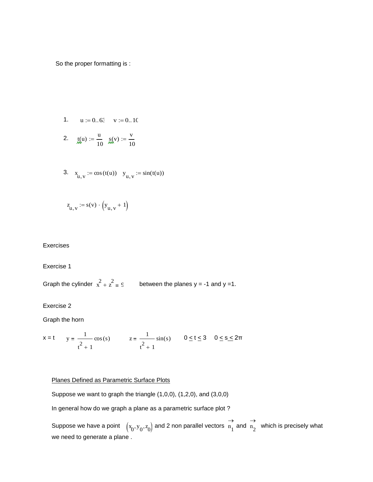So the proper formatting is :

1. 
$$
u := 0..63
$$
  $v := 0..10$ 

2. 
$$
\text{f}(u) := \frac{u}{10}
$$
  $\text{g}(v) := \frac{v}{10}$ 

3. 
$$
x_{u,v} := \cos(t(u))
$$
  $y_{u,v} := \sin(t(u))$ 

$$
z_{u,v} := s(v) \cdot \left(y_{u,v} + 1\right)
$$

### Exercises

# Exercise 1

Graph the cylinder  $x^2 + z^2 = 9$  between the planes y = -1 and y =1.

Exercise 2

Graph the horn

$$
x = t
$$
  $y = \frac{1}{t^2 + 1} \cos(s)$   $z = \frac{1}{t^2 + 1} \sin(s)$   $0 \le t \le 3$   $0 \le s \le 2\pi$ 

# Planes Defined as Parametric Surface Plots

Suppose we want to graph the triangle (1,0,0), (1,2,0), and (3,0,0)

In general how do we graph a plane as a parametric surface plot ?

Suppose we have a point  $(x_0, y_0, z_0)$  and 2 non parallel vectors  $\overline{\mathbf{n}}_1$  $\rightarrow$ and  $n_2$  $\rightarrow$  which is precisely what we need to generate a plane .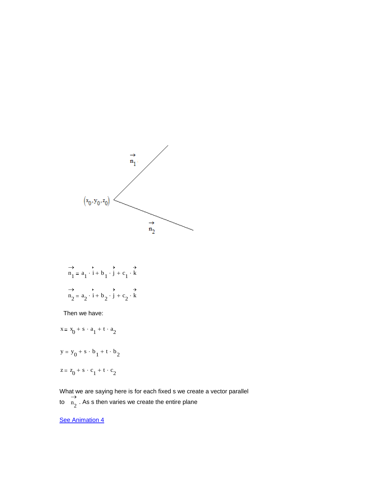

$$
\overrightarrow{n_1} = a_1 \cdot \overrightarrow{i} + b_1 \cdot \overrightarrow{j} + c_1 \cdot \overrightarrow{k}
$$
  
\n
$$
\overrightarrow{n_2} = a_2 \cdot \overrightarrow{i} + b_2 \cdot \overrightarrow{j} + c_2 \cdot \overrightarrow{k}
$$

Then we have:

$$
x = x_0 + s \cdot a_1 + t \cdot a_2
$$

$$
y = y_0 + s \cdot b_1 + t \cdot b_2
$$

$$
z = z_0 + s \cdot c_1 + t \cdot c_2
$$

What we are saying here is for each fixed s we create a vector parallel to  $n_2$  $\rightarrow$ . As s then varies we create the entire plane

**[See Animation 4](http://www.calculus7.com/sitebuildercontent/sitebuilderfiles/planepsp.avi)**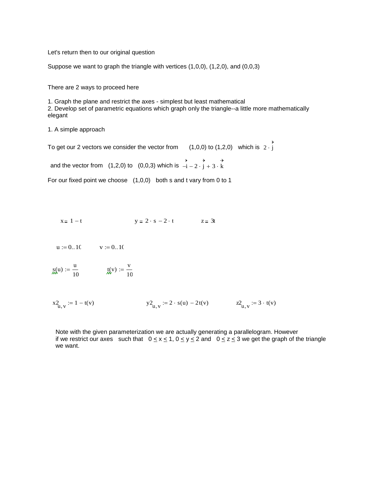Let's return then to our original question

Suppose we want to graph the triangle with vertices (1,0,0), (1,2,0), and (0,0,3)

There are 2 ways to proceed here

1. Graph the plane and restrict the axes - simplest but least mathematical 2. Develop set of parametric equations which graph only the triangle--a little more mathematically elegant

1. A simple approach

To get our 2 vectors we consider the vector from  $(1,0,0)$  to  $(1,2,0)$  which is  $2\cdot j$  $\rightarrow$  $\cdot$ j

and the vector from  $(1,2,0)$  to  $(0,0,3)$  which is  $-i$  $\rightarrow$  $-i-2 \cdot j$  $\rightarrow$  $-2 \cdot j + 3 \cdot k$  $\rightarrow$  $+3.$ 

For our fixed point we choose (1,0,0) both s and t vary from 0 to 1

 $x = 1 - t$   $y = 2 \cdot s - 2 \cdot t$   $z = 3t$ 

 $u := 0..10$  v := 0..10

$$
S(\mathbf{u}) := \frac{\mathbf{u}}{10} \qquad \qquad \mathbf{u}(\mathbf{v}) := \frac{\mathbf{v}}{10}
$$

 $x_{u,v}^2$  $y2_{u,v} := 2 \cdot s(u) - 2t(v)$   $z2_{u,v} := 3 \cdot t(v)$ 

Note with the given parameterization we are actually generating a parallelogram. However if we restrict our axes such that  $0 \le x \le 1$ ,  $0 \le y \le 2$  and  $0 \le z \le 3$  we get the graph of the triangle we want.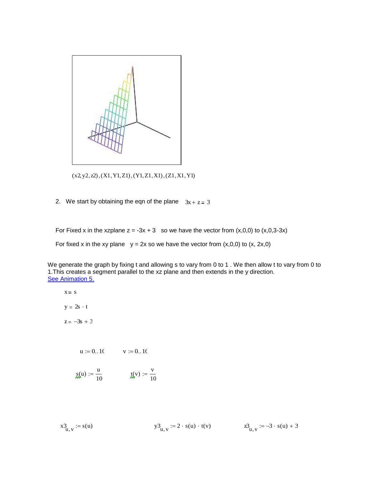

 $(x2, y2, z2), (X1, Y1, Z1), (Y1, Z1, X1), (Z1, X1, Y1)$ 

2. We start by obtaining the eqn of the plane  $3x + z = 3$ 

For Fixed x in the xzplane  $z = -3x + 3$  so we have the vector from  $(x,0,0)$  to  $(x,0,3-3x)$ 

For fixed x in the xy plane  $y = 2x$  so we have the vector from  $(x,0,0)$  to  $(x, 2x,0)$ 

We generate the graph by fixing t and allowing s to vary from 0 to 1 . We then allow t to vary from 0 to 1.This creates a segment parallel to the xz plane and then extends in the y direction. [See Animation 5.](http://www.calculus7.com/sitebuildercontent/sitebuilderfiles/planetype2.avi)

$$
x = s
$$

 $y = 2s \cdot t$ 

 $z = -3s + 3$ 

$$
u:=0..10 \qquad \quad v:=0..10
$$

$$
S(\mathbf{u}) := \frac{\mathbf{u}}{10} \qquad \qquad \mathbf{u}(\mathbf{v}) := \frac{\mathbf{v}}{10}
$$

$$
x_{u,v}^3 := s(u) \qquad \qquad y_{u,v}^3 := 2 \cdot s(u) \cdot t(v) \qquad \qquad z_{u,v}^3 := -3 \cdot s(u) + 3
$$